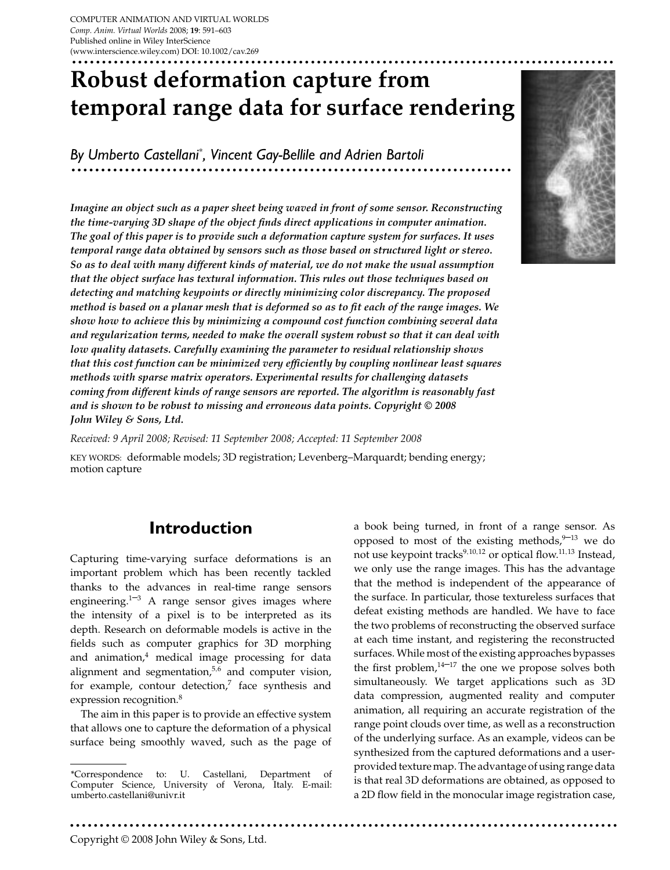COMPUTER ANIMATION AND VIRTUAL WORLDS *Comp. Anim. Virtual Worlds* 2008; **19**: 591–603 Published online in Wiley InterScience (www.interscience.wiley.com) DOI: 10.1002/cav.269 *...........................................................................................*

# **Robust deformation capture from temporal range data for surface rendering**

*By Umberto Castellani\* , Vincent Gay-Bellile and Adrien Bartoli ..........................................................................*

*Imagine an object such as a paper sheet being waved in front of some sensor. Reconstructing the time-varying 3D shape of the object finds direct applications in computer animation. The goal of this paper is to provide such a deformation capture system for surfaces. It uses temporal range data obtained by sensors such as those based on structured light or stereo. So as to deal with many different kinds of material, we do not make the usual assumption that the object surface has textural information. This rules out those techniques based on detecting and matching keypoints or directly minimizing color discrepancy. The proposed method is based on a planar mesh that is deformed so as to fit each of the range images. We show how to achieve this by minimizing a compound cost function combining several data and regularization terms, needed to make the overall system robust so that it can deal with low quality datasets. Carefully examining the parameter to residual relationship shows that this cost function can be minimized very efficiently by coupling nonlinear least squares methods with sparse matrix operators. Experimental results for challenging datasets coming from different kinds of range sensors are reported. The algorithm is reasonably fast and is shown to be robust to missing and erroneous data points. Copyright © 2008 John Wiley & Sons, Ltd.*

*Received: 9 April 2008; Revised: 11 September 2008; Accepted: 11 September 2008* KEY WORDS: deformable models; 3D registration; Levenberg–Marquardt; bending energy; motion capture

### **Introduction**

Capturing time-varying surface deformations is an important problem which has been recently tackled thanks to the advances in real-time range sensors engineering. $1-3$  A range sensor gives images where the intensity of a pixel is to be interpreted as its depth. Research on deformable models is active in the fields such as computer graphics for 3D morphing and animation, $4 \text{ medical image processing for data}$ alignment and segmentation,<sup>5</sup>*,*<sup>6</sup> and computer vision, for example, contour detection, $^7$  face synthesis and expression recognition.<sup>8</sup>

The aim in this paper is to provide an effective system that allows one to capture the deformation of a physical surface being smoothly waved, such as the page of a book being turned, in front of a range sensor. As opposed to most of the existing methods, $9-13$  we do not use keypoint tracks<sup>9,10,12</sup> or optical flow.<sup>11,13</sup> Instead, we only use the range images. This has the advantage that the method is independent of the appearance of the surface. In particular, those textureless surfaces that defeat existing methods are handled. We have to face the two problems of reconstructing the observed surface at each time instant, and registering the reconstructed surfaces. While most of the existing approaches bypasses the first problem, $14-17$  the one we propose solves both simultaneously. We target applications such as 3D data compression, augmented reality and computer animation, all requiring an accurate registration of the range point clouds over time, as well as a reconstruction of the underlying surface. As an example, videos can be synthesized from the captured deformations and a userprovided texture map. The advantage of using range data is that real 3D deformations are obtained, as opposed to a 2D flow field in the monocular image registration case,



*............................................................................................* Copyright © 2008 John Wiley & Sons, Ltd.

<sup>\*</sup>Correspondence to: U. Castellani, Department of Computer Science, University of Verona, Italy. E-mail: umberto.castellani@univr.it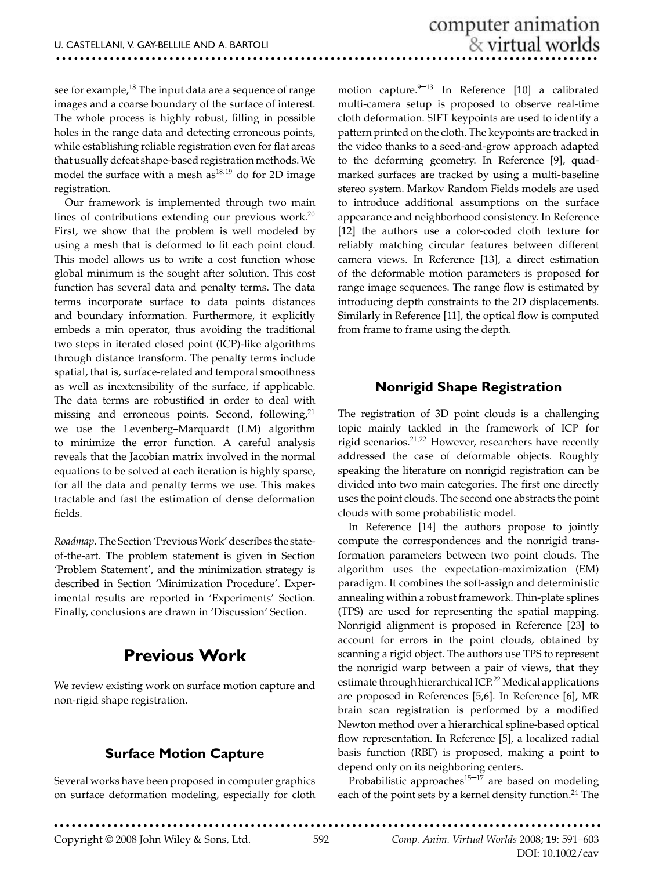see for example,<sup>18</sup> The input data are a sequence of range images and a coarse boundary of the surface of interest. The whole process is highly robust, filling in possible holes in the range data and detecting erroneous points, while establishing reliable registration even for flat areas that usually defeat shape-based registration methods. We model the surface with a mesh as<sup>18,19</sup> do for 2D image registration.

Our framework is implemented through two main lines of contributions extending our previous work.<sup>20</sup> First, we show that the problem is well modeled by using a mesh that is deformed to fit each point cloud. This model allows us to write a cost function whose global minimum is the sought after solution. This cost function has several data and penalty terms. The data terms incorporate surface to data points distances and boundary information. Furthermore, it explicitly embeds a min operator, thus avoiding the traditional two steps in iterated closed point (ICP)-like algorithms through distance transform. The penalty terms include spatial, that is, surface-related and temporal smoothness as well as inextensibility of the surface, if applicable. The data terms are robustified in order to deal with missing and erroneous points. Second, following, $21$ we use the Levenberg–Marquardt (LM) algorithm to minimize the error function. A careful analysis reveals that the Jacobian matrix involved in the normal equations to be solved at each iteration is highly sparse, for all the data and penalty terms we use. This makes tractable and fast the estimation of dense deformation fields.

*Roadmap*. The Section 'PreviousWork' describes the stateof-the-art. The problem statement is given in Section 'Problem Statement', and the minimization strategy is described in Section 'Minimization Procedure'. Experimental results are reported in 'Experiments' Section. Finally, conclusions are drawn in 'Discussion' Section.

### **Previous Work**

We review existing work on surface motion capture and non-rigid shape registration.

### **Surface Motion Capture**

Several works have been proposed in computer graphics on surface deformation modeling, especially for cloth motion capture. $9-13$  In Reference [10] a calibrated multi-camera setup is proposed to observe real-time cloth deformation. SIFT keypoints are used to identify a pattern printed on the cloth. The keypoints are tracked in the video thanks to a seed-and-grow approach adapted to the deforming geometry. In Reference [9], quadmarked surfaces are tracked by using a multi-baseline stereo system. Markov Random Fields models are used to introduce additional assumptions on the surface appearance and neighborhood consistency. In Reference [12] the authors use a color-coded cloth texture for reliably matching circular features between different camera views. In Reference [13], a direct estimation of the deformable motion parameters is proposed for range image sequences. The range flow is estimated by introducing depth constraints to the 2D displacements. Similarly in Reference [11], the optical flow is computed from frame to frame using the depth.

### **Nonrigid Shape Registration**

The registration of 3D point clouds is a challenging topic mainly tackled in the framework of ICP for rigid scenarios.<sup>21</sup>*,*<sup>22</sup> However, researchers have recently addressed the case of deformable objects. Roughly speaking the literature on nonrigid registration can be divided into two main categories. The first one directly uses the point clouds. The second one abstracts the point clouds with some probabilistic model.

In Reference [14] the authors propose to jointly compute the correspondences and the nonrigid transformation parameters between two point clouds. The algorithm uses the expectation-maximization (EM) paradigm. It combines the soft-assign and deterministic annealing within a robust framework. Thin-plate splines (TPS) are used for representing the spatial mapping. Nonrigid alignment is proposed in Reference [23] to account for errors in the point clouds, obtained by scanning a rigid object. The authors use TPS to represent the nonrigid warp between a pair of views, that they estimate through hierarchical ICP.<sup>22</sup> Medical applications are proposed in References [5,6]. In Reference [6], MR brain scan registration is performed by a modified Newton method over a hierarchical spline-based optical flow representation. In Reference [5], a localized radial basis function (RBF) is proposed, making a point to depend only on its neighboring centers.

Probabilistic approaches $15-17$  are based on modeling each of the point sets by a kernel density function.<sup>24</sup> The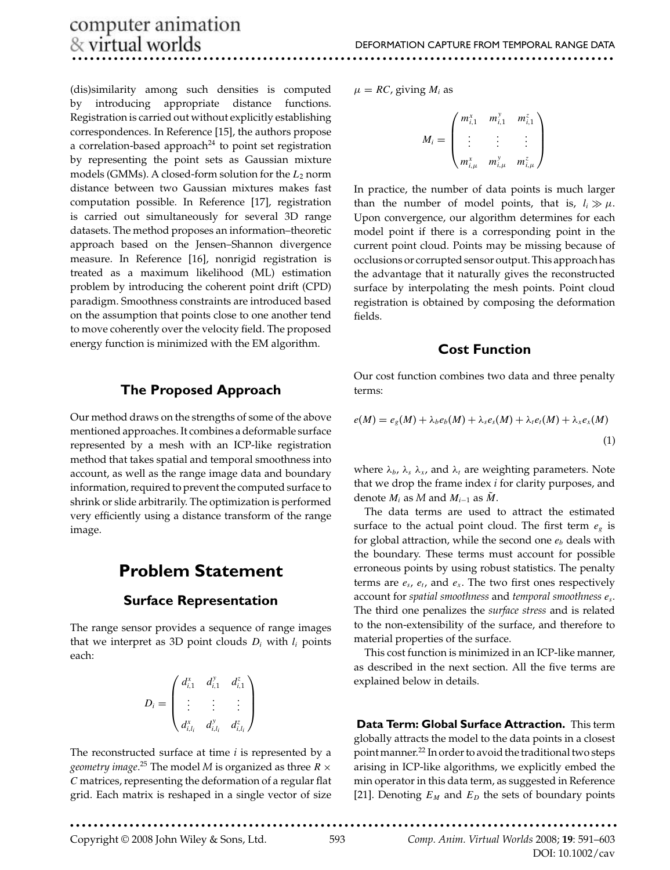(dis)similarity among such densities is computed by introducing appropriate distance functions. Registration is carried out without explicitly establishing correspondences. In Reference [15], the authors propose a correlation-based approach $24$  to point set registration by representing the point sets as Gaussian mixture models (GMMs). A closed-form solution for the  $L_2$  norm distance between two Gaussian mixtures makes fast computation possible. In Reference [17], registration is carried out simultaneously for several 3D range datasets. The method proposes an information–theoretic approach based on the Jensen–Shannon divergence measure. In Reference [16], nonrigid registration is treated as a maximum likelihood (ML) estimation problem by introducing the coherent point drift (CPD) paradigm. Smoothness constraints are introduced based on the assumption that points close to one another tend to move coherently over the velocity field. The proposed energy function is minimized with the EM algorithm.

### **The Proposed Approach**

Our method draws on the strengths of some of the above mentioned approaches. It combines a deformable surface represented by a mesh with an ICP-like registration method that takes spatial and temporal smoothness into account, as well as the range image data and boundary information, required to prevent the computed surface to shrink or slide arbitrarily. The optimization is performed very efficiently using a distance transform of the range image.

### **Problem Statement**

### **Surface Representation**

The range sensor provides a sequence of range images that we interpret as 3D point clouds  $D_i$  with  $l_i$  points each:

$$
D_i = \begin{pmatrix} d_{i,1}^x & d_{i,1}^y & d_{i,1}^z \\ \vdots & \vdots & \vdots \\ d_{i,l_i}^x & d_{i,l_i}^y & d_{i,l_i}^z \end{pmatrix}
$$

The reconstructed surface at time *i* is represented by a *geometry image*. <sup>25</sup> The model *M* is organized as three *R* × *C* matrices, representing the deformation of a regular flat grid. Each matrix is reshaped in a single vector of size

 $\mu = RC$ , giving  $M_i$  as

$$
M_i = \begin{pmatrix} m_{i,1}^x & m_{i,1}^y & m_{i,1}^z \\ \vdots & \vdots & \vdots \\ m_{i,\mu}^x & m_{i,\mu}^y & m_{i,\mu}^z \end{pmatrix}
$$

In practice, the number of data points is much larger than the number of model points, that is,  $l_i \gg \mu$ . Upon convergence, our algorithm determines for each model point if there is a corresponding point in the current point cloud. Points may be missing because of occlusions or corrupted sensor output. This approach has the advantage that it naturally gives the reconstructed surface by interpolating the mesh points. Point cloud registration is obtained by composing the deformation fields.

### **Cost Function**

Our cost function combines two data and three penalty terms:

$$
e(M) = es(M) + \lambda_b eb(M) + \lambda_s es(M) + \lambda_t et(M) + \lambda_x ex(M)
$$
\n(1)

where  $\lambda_b$ ,  $\lambda_s$ ,  $\lambda_x$ , and  $\lambda_t$  are weighting parameters. Note that we drop the frame index *i* for clarity purposes, and denote  $M_i$  as  $M$  and  $M_{i-1}$  as  $\tilde{M}$ .

The data terms are used to attract the estimated surface to the actual point cloud. The first term *eg* is for global attraction, while the second one  $e<sub>b</sub>$  deals with the boundary. These terms must account for possible erroneous points by using robust statistics. The penalty terms are  $e_s$ ,  $e_t$ , and  $e_x$ . The two first ones respectively account for *spatial smoothness* and *temporal smoothness es*. The third one penalizes the *surface stress* and is related to the non-extensibility of the surface, and therefore to material properties of the surface.

This cost function is minimized in an ICP-like manner, as described in the next section. All the five terms are explained below in details.

**Data Term: Global Surface Attraction.** This term globally attracts the model to the data points in a closest point manner.<sup>22</sup> In order to avoid the traditional two steps arising in ICP-like algorithms, we explicitly embed the min operator in this data term, as suggested in Reference [21]. Denoting  $E_M$  and  $E_D$  the sets of boundary points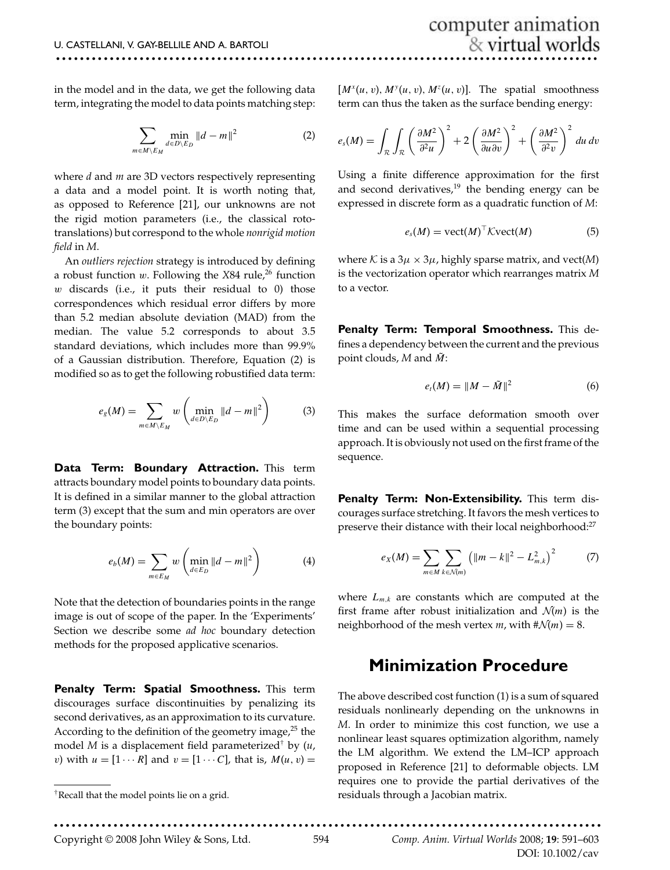in the model and in the data, we get the following data term, integrating the model to data points matching step:

$$
\sum_{m \in M \setminus E_M} \min_{d \in D \setminus E_D} \|d - m\|^2 \tag{2}
$$

where *d* and *m* are 3D vectors respectively representing a data and a model point. It is worth noting that, as opposed to Reference [21], our unknowns are not the rigid motion parameters (i.e., the classical rototranslations) but correspond to the whole *nonrigid motion field* in *M*.

An *outliers rejection* strategy is introduced by defining a robust function *w*. Following the *X84* rule,<sup>26</sup> function *w* discards (i.e., it puts their residual to 0) those correspondences which residual error differs by more than 5.2 median absolute deviation (MAD) from the median. The value 5.2 corresponds to about 3.5 standard deviations, which includes more than 99.9% of a Gaussian distribution. Therefore, Equation (2) is modified so as to get the following robustified data term:

$$
e_{g}(M) = \sum_{m \in M \setminus E_M} w\left(\min_{d \in D \setminus E_D} \|d - m\|^2\right) \tag{3}
$$

**Data Term: Boundary Attraction.** This term attracts boundary model points to boundary data points. It is defined in a similar manner to the global attraction term (3) except that the sum and min operators are over the boundary points:

$$
e_b(M) = \sum_{m \in E_M} w \left( \min_{d \in E_D} ||d - m||^2 \right) \tag{4}
$$

Note that the detection of boundaries points in the range image is out of scope of the paper. In the 'Experiments' Section we describe some *ad hoc* boundary detection methods for the proposed applicative scenarios.

**Penalty Term: Spatial Smoothness.** This term discourages surface discontinuities by penalizing its second derivatives, as an approximation to its curvature. According to the definition of the geometry image, $25$  the model *M* is a displacement field parameterized† by (*u*, *v*) with  $u = [1 \cdots R]$  and  $v = [1 \cdots C]$ , that is,  $M(u, v) =$ 

 $[M^x(u, v), M^y(u, v), M^z(u, v)].$  The spatial smoothness term can thus the taken as the surface bending energy:

$$
e_s(M) = \int_{\mathcal{R}} \int_{\mathcal{R}} \left( \frac{\partial M^2}{\partial u^2} \right)^2 + 2 \left( \frac{\partial M^2}{\partial u \partial v} \right)^2 + \left( \frac{\partial M^2}{\partial u^2} \right)^2 du dv
$$

Using a finite difference approximation for the first and second derivatives, $19$  the bending energy can be expressed in discrete form as a quadratic function of *M*:

$$
e_s(M) = \text{vect}(M)^\top \mathcal{K} \text{vect}(M) \tag{5}
$$

where K is a  $3\mu \times 3\mu$ , highly sparse matrix, and vect(M) is the vectorization operator which rearranges matrix *M* to a vector.

**Penalty Term: Temporal Smoothness.** This defines a dependency between the current and the previous point clouds, *M* and  $\tilde{M}$ :

$$
e_t(M) = ||M - \tilde{M}||^2 \tag{6}
$$

This makes the surface deformation smooth over time and can be used within a sequential processing approach. It is obviously not used on the first frame of the sequence.

Penalty Term: Non-Extensibility. This term discourages surface stretching. It favors the mesh vertices to preserve their distance with their local neighborhood:<sup>27</sup>

$$
e_X(M) = \sum_{m \in M} \sum_{k \in \mathcal{N}(m)} \left( ||m - k||^2 - L_{m,k}^2 \right)^2 \tag{7}
$$

where  $L_{m,k}$  are constants which are computed at the first frame after robust initialization and  $\mathcal{N}(m)$  is the neighborhood of the mesh vertex *m*, with  $\#N(m) = 8$ .

### **Minimization Procedure**

The above described cost function (1) is a sum of squared residuals nonlinearly depending on the unknowns in *M*. In order to minimize this cost function, we use a nonlinear least squares optimization algorithm, namely the LM algorithm. We extend the LM–ICP approach proposed in Reference [21] to deformable objects. LM requires one to provide the partial derivatives of the residuals through a Jacobian matrix.

<sup>†</sup>Recall that the model points lie on a grid.

Copyright © 2008 John Wiley & Sons, Ltd. 594 *Comp. Anim. Virtual Worlds* 2008; **19**: 591–603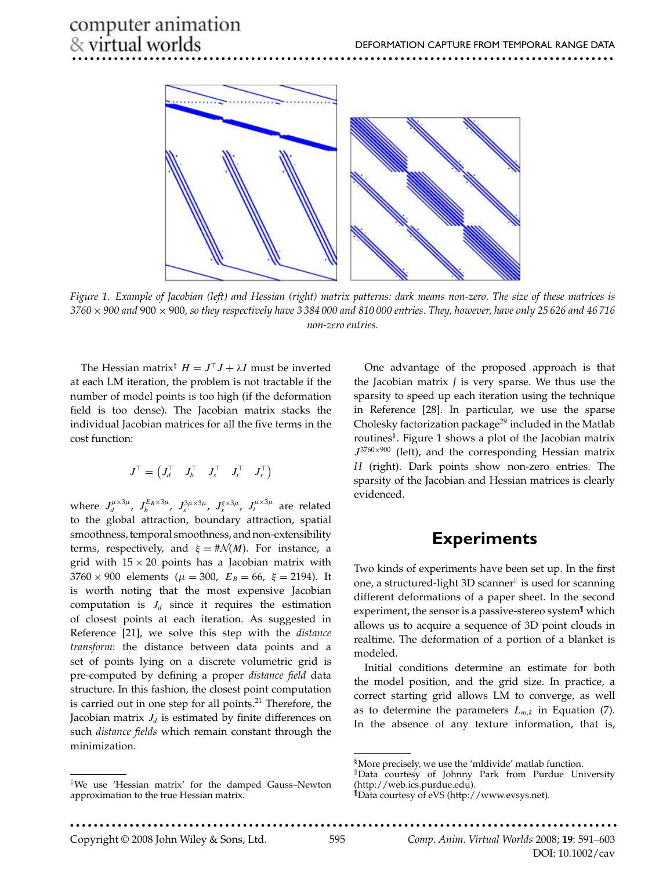# computer animation



*Figure 1. Example of Jacobian (left) and Hessian (right) matrix patterns: dark means non-zero. The size of these matrices is 3760* × *900 and* 900 × 900*, so they respectively have 3 384 000 and 810 000 entries. They, however, have only 25 626 and 46 716 non-zero entries.*

The Hessian matrix<sup>‡</sup>  $H = J^{\top}J + \lambda I$  must be inverted at each LM iteration, the problem is not tractable if the number of model points is too high (if the deformation field is too dense). The Jacobian matrix stacks the individual Jacobian matrices for all the five terms in the cost function:

$$
J^{\top} = \begin{pmatrix} J_d^{\top} & J_b^{\top} & J_s^{\top} & J_t^{\top} & J_x^{\top} \end{pmatrix}
$$

where  $J_d^{\mu \times 3\mu}$ ,  $J_b^{E_B \times 3\mu}$ ,  $J_s^{3\mu \times 3\mu}$ ,  $J_t^{\mu \times 3\mu}$  are related to the global attraction, boundary attraction, spatial smoothness, temporal smoothness, and non-extensibility terms, respectively, and  $\xi = \# \mathcal{N}(M)$ . For instance, a grid with  $15 \times 20$  points has a Jacobian matrix with  $3760 \times 900$  elements ( $\mu = 300$ ,  $E_B = 66$ ,  $\xi = 2194$ ). It is worth noting that the most expensive Jacobian computation is  $J_d$  since it requires the estimation of closest points at each iteration. As suggested in Reference [21], we solve this step with the *distance transform*: the distance between data points and a set of points lying on a discrete volumetric grid is pre-computed by defining a proper *distance field* data structure. In this fashion, the closest point computation is carried out in one step for all points. $21$  Therefore, the Jacobian matrix  $J_d$  is estimated by finite differences on such *distance fields* which remain constant through the minimization.

One advantage of the proposed approach is that the Jacobian matrix *J* is very sparse. We thus use the sparsity to speed up each iteration using the technique in Reference [28]. In particular, we use the sparse Cholesky factorization package<sup>29</sup> included in the Matlab routines§. Figure 1 shows a plot of the Jacobian matrix *J*<sup>3760</sup>×<sup>900</sup> (left), and the corresponding Hessian matrix *H* (right). Dark points show non-zero entries. The sparsity of the Jacobian and Hessian matrices is clearly evidenced.

### **Experiments**

Two kinds of experiments have been set up. In the first one, a structured-light 3D scanner<sup> $\parallel$ </sup> is used for scanning different deformations of a paper sheet. In the second experiment, the sensor is a passive-stereo system<sup>¶</sup> which allows us to acquire a sequence of 3D point clouds in realtime. The deformation of a portion of a blanket is modeled.

Initial conditions determine an estimate for both the model position, and the grid size. In practice, a correct starting grid allows LM to converge, as well as to determine the parameters  $L_{m,k}$  in Equation (7). In the absence of any texture information, that is,

<sup>‡</sup>We use 'Hessian matrix' for the damped Gauss–Newton approximation to the true Hessian matrix.

<sup>§</sup>More precisely, we use the 'mldivide' matlab function.

Data courtesy of Johnny Park from Purdue University (http://web.ics.purdue.edu).

<sup>¶</sup>Data courtesy of eVS (http://www.evsys.net).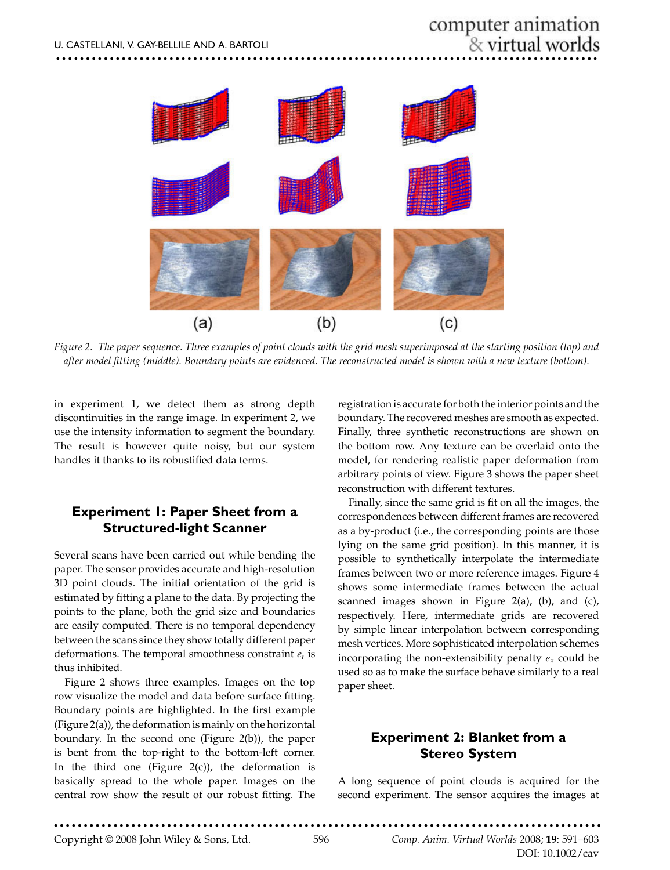

*Figure 2. The paper sequence. Three examples of point clouds with the grid mesh superimposed at the starting position (top) and after model fitting (middle). Boundary points are evidenced. The reconstructed model is shown with a new texture (bottom).*

in experiment 1, we detect them as strong depth discontinuities in the range image. In experiment 2, we use the intensity information to segment the boundary. The result is however quite noisy, but our system handles it thanks to its robustified data terms.

### **Experiment 1: Paper Sheet from a Structured-light Scanner**

Several scans have been carried out while bending the paper. The sensor provides accurate and high-resolution 3D point clouds. The initial orientation of the grid is estimated by fitting a plane to the data. By projecting the points to the plane, both the grid size and boundaries are easily computed. There is no temporal dependency between the scans since they show totally different paper deformations. The temporal smoothness constraint  $e_t$  is thus inhibited.

Figure 2 shows three examples. Images on the top row visualize the model and data before surface fitting. Boundary points are highlighted. In the first example (Figure 2(a)), the deformation is mainly on the horizontal boundary. In the second one (Figure 2(b)), the paper is bent from the top-right to the bottom-left corner. In the third one (Figure  $2(c)$ ), the deformation is basically spread to the whole paper. Images on the central row show the result of our robust fitting. The registration is accurate for both the interior points and the boundary. The recovered meshes are smooth as expected. Finally, three synthetic reconstructions are shown on the bottom row. Any texture can be overlaid onto the model, for rendering realistic paper deformation from arbitrary points of view. Figure 3 shows the paper sheet reconstruction with different textures.

Finally, since the same grid is fit on all the images, the correspondences between different frames are recovered as a by-product (i.e., the corresponding points are those lying on the same grid position). In this manner, it is possible to synthetically interpolate the intermediate frames between two or more reference images. Figure 4 shows some intermediate frames between the actual scanned images shown in Figure 2(a), (b), and (c), respectively. Here, intermediate grids are recovered by simple linear interpolation between corresponding mesh vertices. More sophisticated interpolation schemes incorporating the non-extensibility penalty  $e_x$  could be used so as to make the surface behave similarly to a real paper sheet.

### **Experiment 2: Blanket from a Stereo System**

A long sequence of point clouds is acquired for the second experiment. The sensor acquires the images at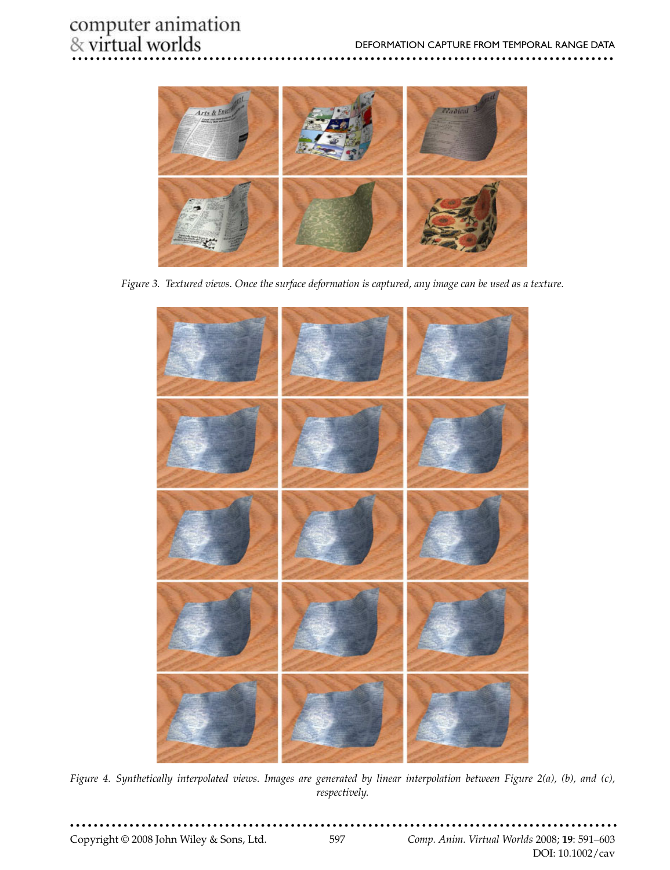

*Figure 3. Textured views. Once the surface deformation is captured, any image can be used as a texture.*



*Figure 4. Synthetically interpolated views. Images are generated by linear interpolation between Figure 2(a), (b), and (c), respectively.*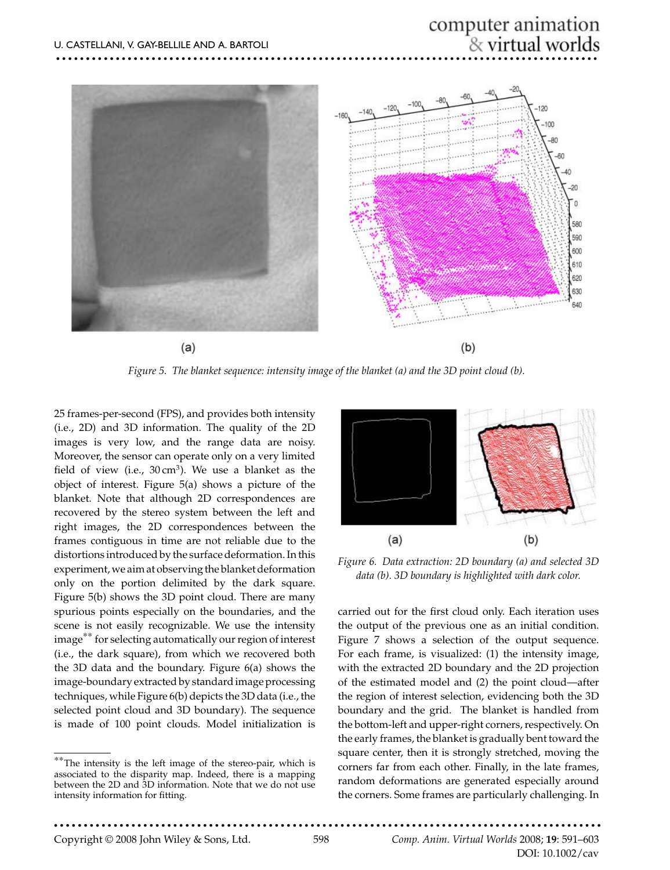

*Figure 5. The blanket sequence: intensity image of the blanket (a) and the 3D point cloud (b).*

25 frames-per-second (FPS), and provides both intensity (i.e., 2D) and 3D information. The quality of the 2D images is very low, and the range data are noisy. Moreover, the sensor can operate only on a very limited field of view (i.e.,  $30 \text{ cm}^3$ ). We use a blanket as the object of interest. Figure 5(a) shows a picture of the blanket. Note that although 2D correspondences are recovered by the stereo system between the left and right images, the 2D correspondences between the frames contiguous in time are not reliable due to the distortions introduced by the surface deformation. In this experiment, we aim at observing the blanket deformation only on the portion delimited by the dark square. Figure 5(b) shows the 3D point cloud. There are many spurious points especially on the boundaries, and the scene is not easily recognizable. We use the intensity image\*\* for selecting automatically our region of interest (i.e., the dark square), from which we recovered both the 3D data and the boundary. Figure 6(a) shows the image-boundary extracted by standard image processing techniques, while Figure 6(b) depicts the 3D data (i.e., the selected point cloud and 3D boundary). The sequence is made of 100 point clouds. Model initialization is



*Figure 6. Data extraction: 2D boundary (a) and selected 3D data (b). 3D boundary is highlighted with dark color.*

carried out for the first cloud only. Each iteration uses the output of the previous one as an initial condition. Figure 7 shows a selection of the output sequence. For each frame, is visualized: (1) the intensity image, with the extracted 2D boundary and the 2D projection of the estimated model and (2) the point cloud—after the region of interest selection, evidencing both the 3D boundary and the grid. The blanket is handled from the bottom-left and upper-right corners, respectively. On the early frames, the blanket is gradually bent toward the square center, then it is strongly stretched, moving the corners far from each other. Finally, in the late frames, random deformations are generated especially around the corners. Some frames are particularly challenging. In

The intensity is the left image of the stereo-pair, which is associated to the disparity map. Indeed, there is a mapping between the 2D and 3D information. Note that we do not use intensity information for fitting.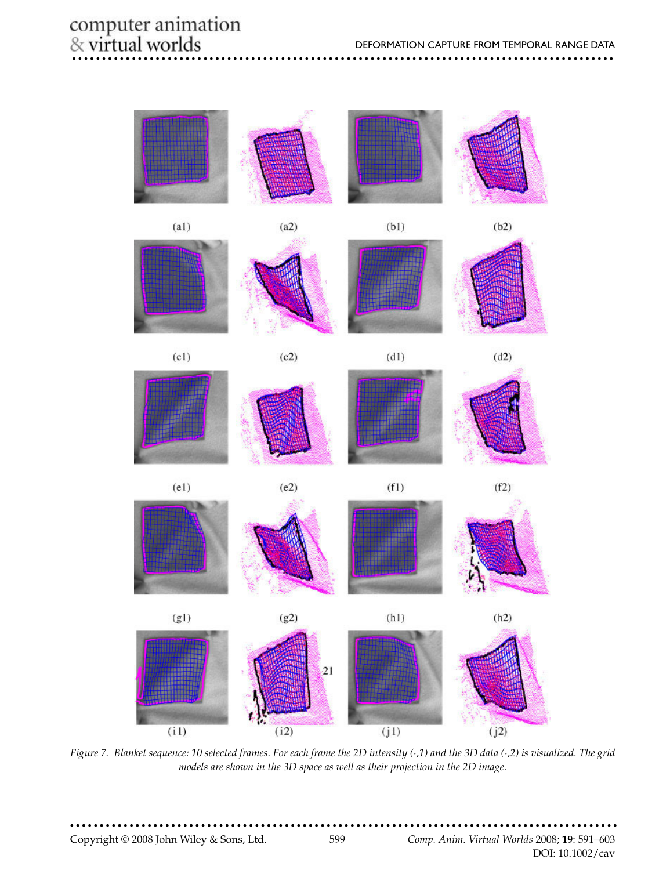

*Figure 7. Blanket sequence: 10 selected frames. For each frame the 2D intensity (*·*,1) and the 3D data (*·*,2) is visualized. The grid models are shown in the 3D space as well as their projection in the 2D image.*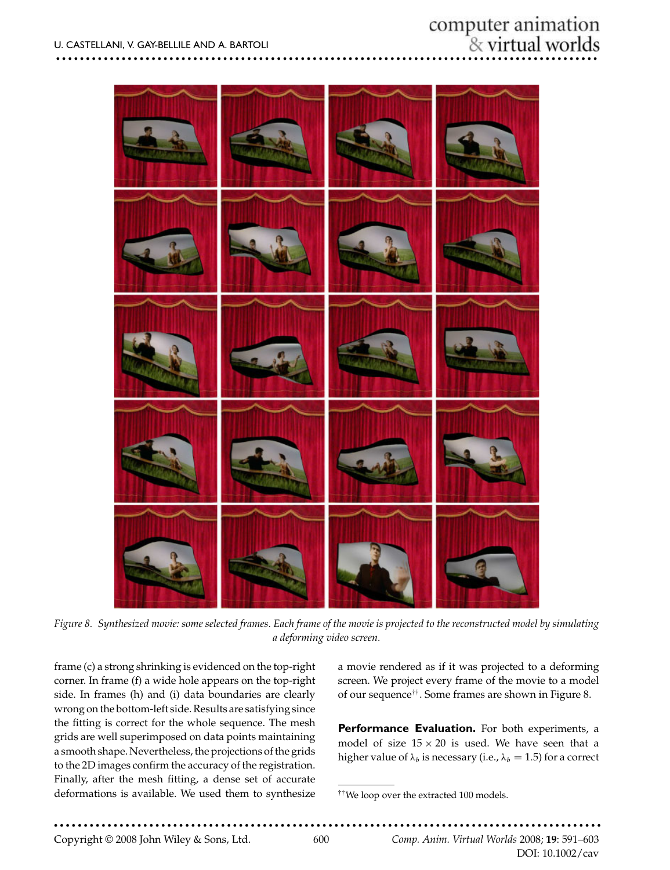

*Figure 8. Synthesized movie: some selected frames. Each frame of the movie is projected to the reconstructed model by simulating a deforming video screen.*

frame (c) a strong shrinking is evidenced on the top-right corner. In frame (f) a wide hole appears on the top-right side. In frames (h) and (i) data boundaries are clearly wrong on the bottom-left side. Results are satisfying since the fitting is correct for the whole sequence. The mesh grids are well superimposed on data points maintaining a smooth shape. Nevertheless, the projections of the grids to the 2D images confirm the accuracy of the registration. Finally, after the mesh fitting, a dense set of accurate deformations is available. We used them to synthesize a movie rendered as if it was projected to a deforming screen. We project every frame of the movie to a model of our sequence††. Some frames are shown in Figure 8.

**Performance Evaluation.** For both experiments, a model of size  $15 \times 20$  is used. We have seen that a higher value of  $\lambda_b$  is necessary (i.e.,  $\lambda_b = 1.5$ ) for a correct

<sup>††</sup>We loop over the extracted 100 models.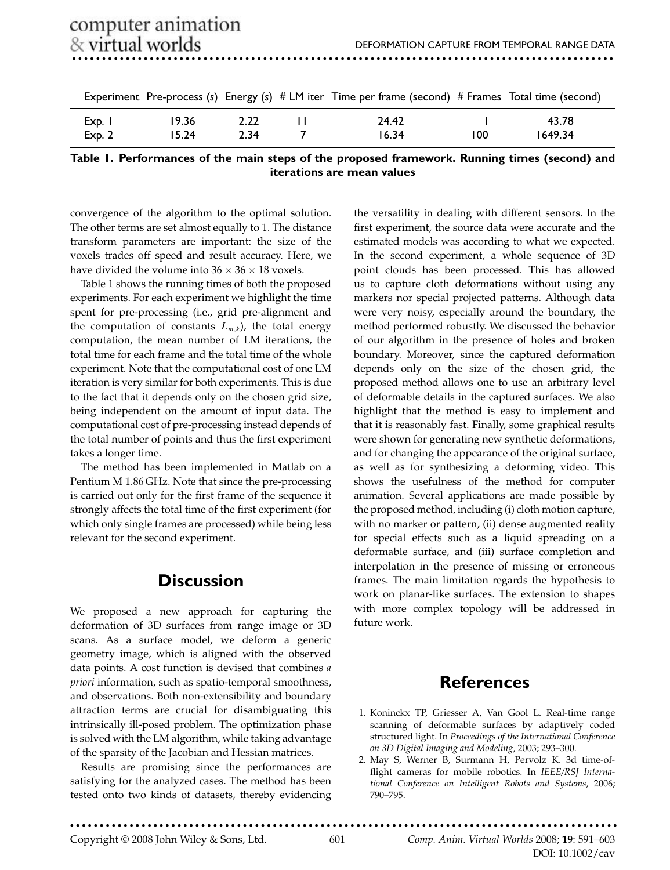|        |       |      | Experiment Pre-process (s) Energy (s) $# LM$ iter Time per frame (second) $#$ Frames Total time (second) |      |        |
|--------|-------|------|----------------------------------------------------------------------------------------------------------|------|--------|
| Exp. I | 19.36 | 2.22 | 24.42                                                                                                    |      | 43.78  |
| Exp. 2 | 15.24 | 2.34 | 16.34                                                                                                    | 00 ا | 164934 |

### **Table 1. Performances of the main steps of the proposed framework. Running times (second) and iterations are mean values**

convergence of the algorithm to the optimal solution. The other terms are set almost equally to 1. The distance transform parameters are important: the size of the voxels trades off speed and result accuracy. Here, we have divided the volume into  $36 \times 36 \times 18$  voxels.

Table 1 shows the running times of both the proposed experiments. For each experiment we highlight the time spent for pre-processing (i.e., grid pre-alignment and the computation of constants  $L_{m,k}$ ), the total energy computation, the mean number of LM iterations, the total time for each frame and the total time of the whole experiment. Note that the computational cost of one LM iteration is very similar for both experiments. This is due to the fact that it depends only on the chosen grid size, being independent on the amount of input data. The computational cost of pre-processing instead depends of the total number of points and thus the first experiment takes a longer time.

The method has been implemented in Matlab on a Pentium M 1.86 GHz. Note that since the pre-processing is carried out only for the first frame of the sequence it strongly affects the total time of the first experiment (for which only single frames are processed) while being less relevant for the second experiment.

### **Discussion**

We proposed a new approach for capturing the deformation of 3D surfaces from range image or 3D scans. As a surface model, we deform a generic geometry image, which is aligned with the observed data points. A cost function is devised that combines *a priori* information, such as spatio-temporal smoothness, and observations. Both non-extensibility and boundary attraction terms are crucial for disambiguating this intrinsically ill-posed problem. The optimization phase is solved with the LM algorithm, while taking advantage of the sparsity of the Jacobian and Hessian matrices.

Results are promising since the performances are satisfying for the analyzed cases. The method has been tested onto two kinds of datasets, thereby evidencing

the versatility in dealing with different sensors. In the first experiment, the source data were accurate and the estimated models was according to what we expected. In the second experiment, a whole sequence of 3D point clouds has been processed. This has allowed us to capture cloth deformations without using any markers nor special projected patterns. Although data were very noisy, especially around the boundary, the method performed robustly. We discussed the behavior of our algorithm in the presence of holes and broken boundary. Moreover, since the captured deformation depends only on the size of the chosen grid, the proposed method allows one to use an arbitrary level of deformable details in the captured surfaces. We also highlight that the method is easy to implement and that it is reasonably fast. Finally, some graphical results were shown for generating new synthetic deformations, and for changing the appearance of the original surface, as well as for synthesizing a deforming video. This shows the usefulness of the method for computer animation. Several applications are made possible by the proposed method, including (i) cloth motion capture, with no marker or pattern, (ii) dense augmented reality for special effects such as a liquid spreading on a deformable surface, and (iii) surface completion and interpolation in the presence of missing or erroneous frames. The main limitation regards the hypothesis to work on planar-like surfaces. The extension to shapes with more complex topology will be addressed in future work.

### **References**

- 1. Koninckx TP, Griesser A, Van Gool L. Real-time range scanning of deformable surfaces by adaptively coded structured light. In *Proceedings of the International Conference on 3D Digital Imaging and Modeling*, 2003; 293–300.
- 2. May S, Werner B, Surmann H, Pervolz K. 3d time-offlight cameras for mobile robotics. In *IEEE/RSJ International Conference on Intelligent Robots and Systems*, 2006; 790–795.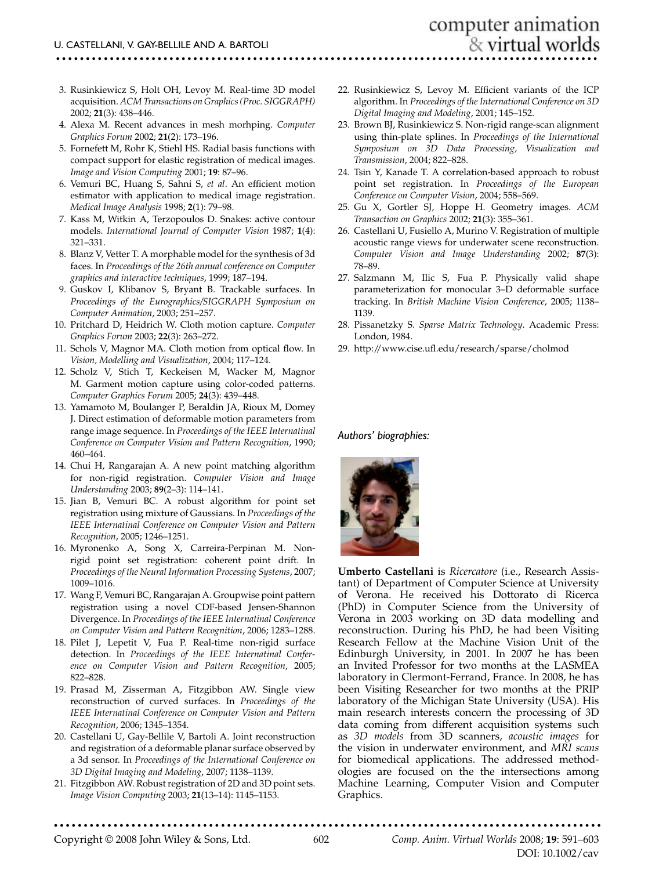- 3. Rusinkiewicz S, Holt OH, Levoy M. Real-time 3D model acquisition. *ACM Transactions on Graphics (Proc. SIGGRAPH)* 2002; **21**(3): 438–446.
- 4. Alexa M. Recent advances in mesh morhping. *Computer Graphics Forum* 2002; **21**(2): 173–196.
- 5. Fornefett M, Rohr K, Stiehl HS. Radial basis functions with compact support for elastic registration of medical images. *Image and Vision Computing* 2001; **19**: 87–96.
- 6. Vemuri BC, Huang S, Sahni S, *et al*. An efficient motion estimator with application to medical image registration. *Medical Image Analysis* 1998; **2**(1): 79–98.
- 7. Kass M, Witkin A, Terzopoulos D. Snakes: active contour models. *International Journal of Computer Vision* 1987; **1**(4): 321–331.
- 8. Blanz V, Vetter T. A morphable model for the synthesis of 3d faces. In *Proceedings of the 26th annual conference on Computer graphics and interactive techniques*, 1999; 187–194.
- 9. Guskov I, Klibanov S, Bryant B. Trackable surfaces. In *Proceedings of the Eurographics/SIGGRAPH Symposium on Computer Animation*, 2003; 251–257.
- 10. Pritchard D, Heidrich W. Cloth motion capture. *Computer Graphics Forum* 2003; **22**(3): 263–272.
- 11. Schols V, Magnor MA. Cloth motion from optical flow. In *Vision, Modelling and Visualization*, 2004; 117–124.
- 12. Scholz V, Stich T, Keckeisen M, Wacker M, Magnor M. Garment motion capture using color-coded patterns. *Computer Graphics Forum* 2005; **24**(3): 439–448.
- 13. Yamamoto M, Boulanger P, Beraldin JA, Rioux M, Domey J. Direct estimation of deformable motion parameters from range image sequence. In *Proceedings of the IEEE Internatinal Conference on Computer Vision and Pattern Recognition*, 1990; 460–464.
- 14. Chui H, Rangarajan A. A new point matching algorithm for non-rigid registration. *Computer Vision and Image Understanding* 2003; **89**(2–3): 114–141.
- 15. Jian B, Vemuri BC. A robust algorithm for point set registration using mixture of Gaussians. In *Proceedings of the IEEE Internatinal Conference on Computer Vision and Pattern Recognition*, 2005; 1246–1251.
- 16. Myronenko A, Song X, Carreira-Perpinan M. Nonrigid point set registration: coherent point drift. In *Proceedings of the Neural Information Processing Systems*, 2007; 1009–1016.
- 17. Wang F, Vemuri BC, Rangarajan A. Groupwise point pattern registration using a novel CDF-based Jensen-Shannon Divergence. In *Proceedings of the IEEE Internatinal Conference on Computer Vision and Pattern Recognition*, 2006; 1283–1288.
- 18. Pilet J, Lepetit V, Fua P. Real-time non-rigid surface detection. In *Proceedings of the IEEE Internatinal Conference on Computer Vision and Pattern Recognition*, 2005; 822–828.
- 19. Prasad M, Zisserman A, Fitzgibbon AW. Single view reconstruction of curved surfaces. In *Proceedings of the IEEE Internatinal Conference on Computer Vision and Pattern Recognition*, 2006; 1345–1354.
- 20. Castellani U, Gay-Bellile V, Bartoli A. Joint reconstruction and registration of a deformable planar surface observed by a 3d sensor. In *Proceedings of the International Conference on 3D Digital Imaging and Modeling*, 2007; 1138–1139.
- 21. Fitzgibbon AW. Robust registration of 2D and 3D point sets. *Image Vision Computing* 2003; **21**(13–14): 1145–1153.
- 22. Rusinkiewicz S, Levoy M. Efficient variants of the ICP algorithm. In *Proceedings of the International Conference on 3D Digital Imaging and Modeling*, 2001; 145–152.
- 23. Brown BJ, Rusinkiewicz S. Non-rigid range-scan alignment using thin-plate splines. In *Proceedings of the International Symposium on 3D Data Processing, Visualization and Transmission*, 2004; 822–828.
- 24. Tsin Y, Kanade T. A correlation-based approach to robust point set registration. In *Proceedings of the European Conference on Computer Vision*, 2004; 558–569.
- 25. Gu X, Gortler SJ, Hoppe H. Geometry images. *ACM Transaction on Graphics* 2002; **21**(3): 355–361.
- 26. Castellani U, Fusiello A, Murino V. Registration of multiple acoustic range views for underwater scene reconstruction. *Computer Vision and Image Understanding* 2002; **87**(3): 78–89.
- 27. Salzmann M, Ilic S, Fua P. Physically valid shape parameterization for monocular 3–D deformable surface tracking. In *British Machine Vision Conference*, 2005; 1138– 1139.
- 28. Pissanetzky S. *Sparse Matrix Technology*. Academic Press: London, 1984.
- 29. http://www.cise.ufl.edu/research/sparse/cholmod

### *Authors' biographies:*



**Umberto Castellani** is *Ricercatore* (i.e., Research Assistant) of Department of Computer Science at University of Verona. He received his Dottorato di Ricerca (PhD) in Computer Science from the University of Verona in 2003 working on 3D data modelling and reconstruction. During his PhD, he had been Visiting Research Fellow at the Machine Vision Unit of the Edinburgh University, in 2001. In 2007 he has been an Invited Professor for two months at the LASMEA laboratory in Clermont-Ferrand, France. In 2008, he has been Visiting Researcher for two months at the PRIP laboratory of the Michigan State University (USA). His main research interests concern the processing of 3D data coming from different acquisition systems such as *3D models* from 3D scanners, *acoustic images* for the vision in underwater environment, and *MRI scans* for biomedical applications. The addressed methodologies are focused on the the intersections among Machine Learning, Computer Vision and Computer Graphics.